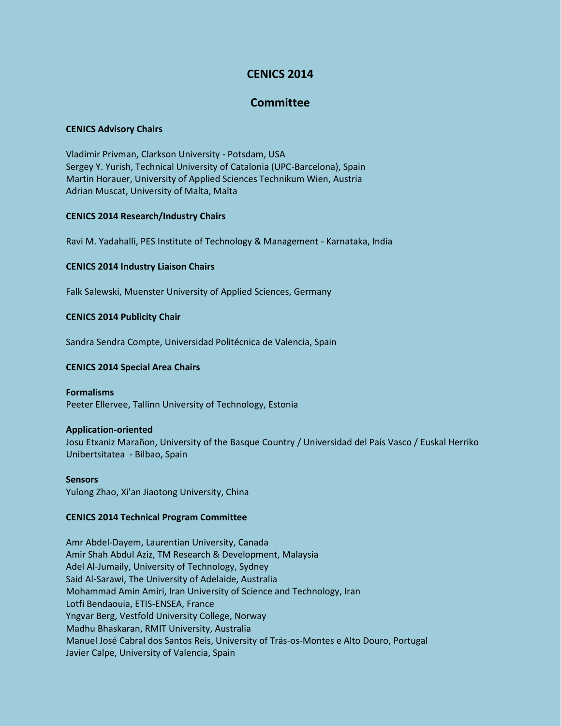# **CENICS 2014**

# **Committee**

## **CENICS Advisory Chairs**

Vladimir Privman, Clarkson University - Potsdam, USA Sergey Y. Yurish, Technical University of Catalonia (UPC-Barcelona), Spain Martin Horauer, University of Applied Sciences Technikum Wien, Austria Adrian Muscat, University of Malta, Malta

## **CENICS 2014 Research/Industry Chairs**

Ravi M. Yadahalli, PES Institute of Technology & Management - Karnataka, India

## **CENICS 2014 Industry Liaison Chairs**

Falk Salewski, Muenster University of Applied Sciences, Germany

## **CENICS 2014 Publicity Chair**

Sandra Sendra Compte, Universidad Politécnica de Valencia, Spain

# **CENICS 2014 Special Area Chairs**

# **Formalisms**

Peeter Ellervee, Tallinn University of Technology, Estonia

### **Application-oriented**

Josu Etxaniz Marañon, University of the Basque Country / Universidad del País Vasco / Euskal Herriko Unibertsitatea - Bilbao, Spain

### **Sensors**

Yulong Zhao, Xi'an Jiaotong University, China

### **CENICS 2014 Technical Program Committee**

Amr Abdel-Dayem, Laurentian University, Canada Amir Shah Abdul Aziz, TM Research & Development, Malaysia Adel Al-Jumaily, University of Technology, Sydney Said Al-Sarawi, The University of Adelaide, Australia Mohammad Amin Amiri, Iran University of Science and Technology, Iran Lotfi Bendaouia, ETIS-ENSEA, France Yngvar Berg, Vestfold University College, Norway Madhu Bhaskaran, RMIT University, Australia Manuel José Cabral dos Santos Reis, University of Trás-os-Montes e Alto Douro, Portugal Javier Calpe, University of Valencia, Spain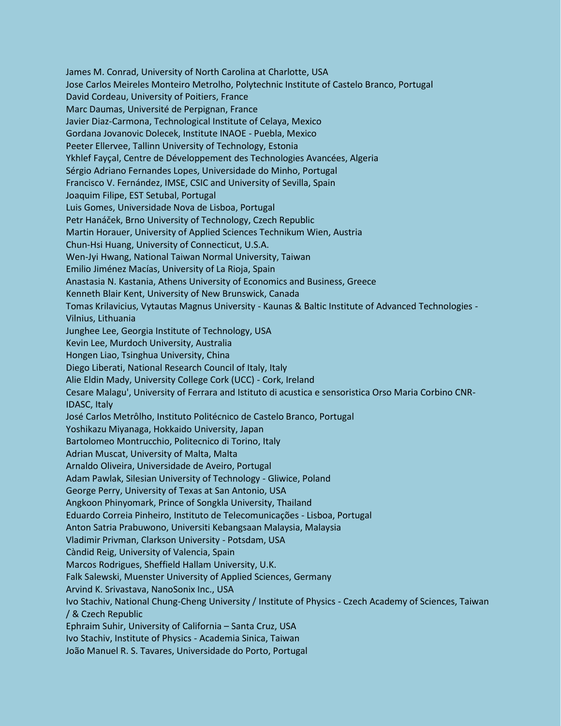James M. Conrad, University of North Carolina at Charlotte, USA Jose Carlos Meireles Monteiro Metrolho, Polytechnic Institute of Castelo Branco, Portugal David Cordeau, University of Poitiers, France Marc Daumas, Université de Perpignan, France Javier Diaz-Carmona, Technological Institute of Celaya, Mexico Gordana Jovanovic Dolecek, Institute INAOE - Puebla, Mexico Peeter Ellervee, Tallinn University of Technology, Estonia Ykhlef Fayçal, Centre de Développement des Technologies Avancées, Algeria Sérgio Adriano Fernandes Lopes, Universidade do Minho, Portugal Francisco V. Fernández, IMSE, CSIC and University of Sevilla, Spain Joaquim Filipe, EST Setubal, Portugal Luis Gomes, Universidade Nova de Lisboa, Portugal Petr Hanáček, Brno University of Technology, Czech Republic Martin Horauer, University of Applied Sciences Technikum Wien, Austria Chun-Hsi Huang, University of Connecticut, U.S.A. Wen-Jyi Hwang, National Taiwan Normal University, Taiwan Emilio Jiménez Macías, University of La Rioja, Spain Anastasia N. Kastania, Athens University of Economics and Business, Greece Kenneth Blair Kent, University of New Brunswick, Canada Tomas Krilavicius, Vytautas Magnus University - Kaunas & Baltic Institute of Advanced Technologies - Vilnius, Lithuania Junghee Lee, Georgia Institute of Technology, USA Kevin Lee, Murdoch University, Australia Hongen Liao, Tsinghua University, China Diego Liberati, National Research Council of Italy, Italy Alie Eldin Mady, University College Cork (UCC) - Cork, Ireland Cesare Malagu', University of Ferrara and Istituto di acustica e sensoristica Orso Maria Corbino CNR-IDASC, Italy José Carlos Metrôlho, Instituto Politécnico de Castelo Branco, Portugal Yoshikazu Miyanaga, Hokkaido University, Japan Bartolomeo Montrucchio, Politecnico di Torino, Italy Adrian Muscat, University of Malta, Malta Arnaldo Oliveira, Universidade de Aveiro, Portugal Adam Pawlak, Silesian University of Technology - Gliwice, Poland George Perry, University of Texas at San Antonio, USA Angkoon Phinyomark, Prince of Songkla University, Thailand Eduardo Correia Pinheiro, Instituto de Telecomunicações - Lisboa, Portugal Anton Satria Prabuwono, Universiti Kebangsaan Malaysia, Malaysia Vladimir Privman, Clarkson University - Potsdam, USA Càndid Reig, University of Valencia, Spain Marcos Rodrigues, Sheffield Hallam University, U.K. Falk Salewski, Muenster University of Applied Sciences, Germany Arvind K. Srivastava, NanoSonix Inc., USA Ivo Stachiv, National Chung-Cheng University / Institute of Physics - Czech Academy of Sciences, Taiwan / & Czech Republic Ephraim Suhir, University of California – Santa Cruz, USA Ivo Stachiv, Institute of Physics - Academia Sinica, Taiwan João Manuel R. S. Tavares, Universidade do Porto, Portugal